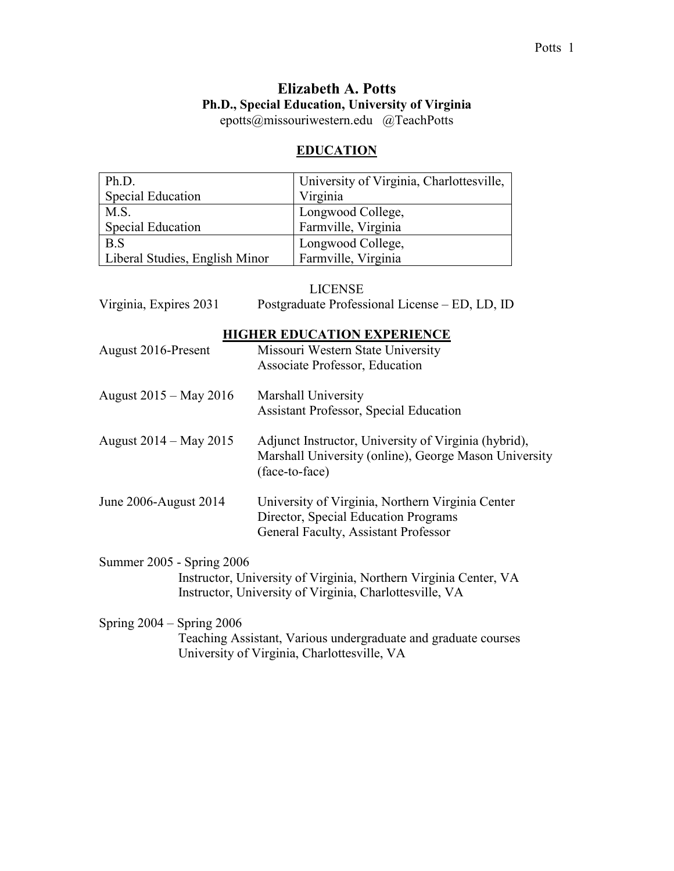# **Elizabeth A. Potts Ph.D., Special Education, University of Virginia**

epotts@missouriwestern.edu @TeachPotts

# **EDUCATION**

| Ph.D.                          | University of Virginia, Charlottesville, |
|--------------------------------|------------------------------------------|
| <b>Special Education</b>       | Virginia                                 |
| M.S.                           | Longwood College,                        |
| Special Education              | Farmville, Virginia                      |
| B.S                            | Longwood College,                        |
| Liberal Studies, English Minor | Farmville, Virginia                      |

# LICENSE

| Virginia, Expires 2031                                                                                                                                   | Postgraduate Professional License – ED, LD, ID                                                                                   |  |
|----------------------------------------------------------------------------------------------------------------------------------------------------------|----------------------------------------------------------------------------------------------------------------------------------|--|
| August 2016-Present                                                                                                                                      | <b>HIGHER EDUCATION EXPERIENCE</b><br>Missouri Western State University<br>Associate Professor, Education                        |  |
| August 2015 – May 2016                                                                                                                                   | Marshall University<br><b>Assistant Professor, Special Education</b>                                                             |  |
| August 2014 – May 2015                                                                                                                                   | Adjunct Instructor, University of Virginia (hybrid),<br>Marshall University (online), George Mason University<br>(face-to-face)  |  |
| June 2006-August 2014                                                                                                                                    | University of Virginia, Northern Virginia Center<br>Director, Special Education Programs<br>General Faculty, Assistant Professor |  |
| Summer 2005 - Spring 2006<br>Instructor, University of Virginia, Northern Virginia Center, VA<br>Instructor, University of Virginia, Charlottesville, VA |                                                                                                                                  |  |
| Spring $2004 -$ Spring $2006$                                                                                                                            | Teaching Assistant, Various undergraduate and graduate courses<br>University of Virginia, Charlottesville, VA                    |  |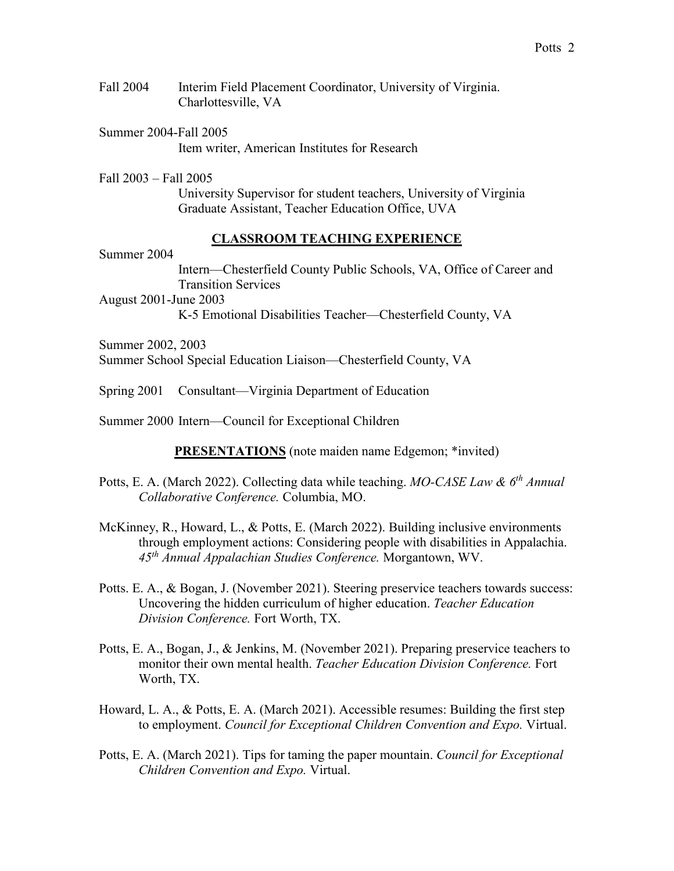- Fall 2004 Interim Field Placement Coordinator, University of Virginia. Charlottesville, VA
- Summer 2004-Fall 2005 Item writer, American Institutes for Research

Fall 2003 – Fall 2005 University Supervisor for student teachers, University of Virginia Graduate Assistant, Teacher Education Office, UVA

## **CLASSROOM TEACHING EXPERIENCE**

Summer 2004

Intern—Chesterfield County Public Schools, VA, Office of Career and Transition Services

August 2001-June 2003

K-5 Emotional Disabilities Teacher—Chesterfield County, VA

Summer 2002, 2003 Summer School Special Education Liaison—Chesterfield County, VA

Spring 2001 Consultant—Virginia Department of Education

Summer 2000 Intern—Council for Exceptional Children

**PRESENTATIONS** (note maiden name Edgemon; \*invited)

- Potts, E. A. (March 2022). Collecting data while teaching. *MO-CASE Law & 6<sup>th</sup> Annual Collaborative Conference.* Columbia, MO.
- McKinney, R., Howard, L., & Potts, E. (March 2022). Building inclusive environments through employment actions: Considering people with disabilities in Appalachia. *45th Annual Appalachian Studies Conference.* Morgantown, WV.
- Potts. E. A., & Bogan, J. (November 2021). Steering preservice teachers towards success: Uncovering the hidden curriculum of higher education. *Teacher Education Division Conference.* Fort Worth, TX.
- Potts, E. A., Bogan, J., & Jenkins, M. (November 2021). Preparing preservice teachers to monitor their own mental health. *Teacher Education Division Conference.* Fort Worth, TX.
- Howard, L. A., & Potts, E. A. (March 2021). Accessible resumes: Building the first step to employment. *Council for Exceptional Children Convention and Expo.* Virtual.
- Potts, E. A. (March 2021). Tips for taming the paper mountain. *Council for Exceptional Children Convention and Expo.* Virtual.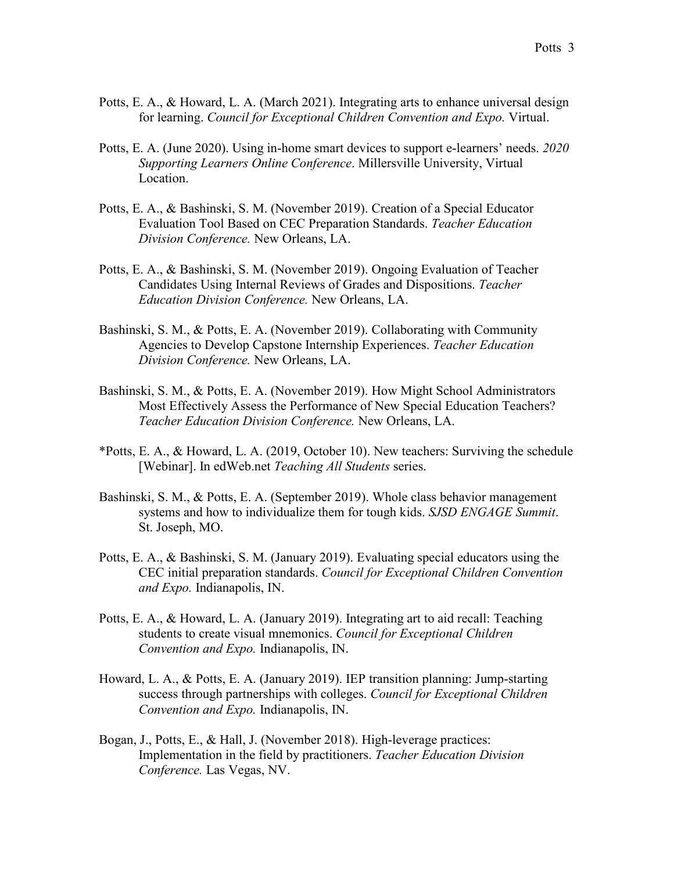- Potts, E. A., & Howard, L. A. (March 2021). Integrating arts to enhance universal design for learning. *Council for Exceptional Children Convention and Expo.* Virtual.
- Potts, E. A. (June 2020). Using in-home smart devices to support e-learners' needs. *2020 Supporting Learners Online Conference*. Millersville University, Virtual Location.
- Potts, E. A., & Bashinski, S. M. (November 2019). Creation of a Special Educator Evaluation Tool Based on CEC Preparation Standards. *Teacher Education Division Conference.* New Orleans, LA.
- Potts, E. A., & Bashinski, S. M. (November 2019). Ongoing Evaluation of Teacher Candidates Using Internal Reviews of Grades and Dispositions. *Teacher Education Division Conference.* New Orleans, LA.
- Bashinski, S. M., & Potts, E. A. (November 2019). Collaborating with Community Agencies to Develop Capstone Internship Experiences. *Teacher Education Division Conference.* New Orleans, LA.
- Bashinski, S. M., & Potts, E. A. (November 2019). How Might School Administrators Most Effectively Assess the Performance of New Special Education Teachers? *Teacher Education Division Conference.* New Orleans, LA.
- \*Potts, E. A., & Howard, L. A. (2019, October 10). New teachers: Surviving the schedule [Webinar]. In edWeb.net *Teaching All Students* series.
- Bashinski, S. M., & Potts, E. A. (September 2019). Whole class behavior management systems and how to individualize them for tough kids. *SJSD ENGAGE Summit*. St. Joseph, MO.
- Potts, E. A., & Bashinski, S. M. (January 2019). Evaluating special educators using the CEC initial preparation standards. *Council for Exceptional Children Convention and Expo.* Indianapolis, IN.
- Potts, E. A., & Howard, L. A. (January 2019). Integrating art to aid recall: Teaching students to create visual mnemonics. *Council for Exceptional Children Convention and Expo.* Indianapolis, IN.
- Howard, L. A., & Potts, E. A. (January 2019). IEP transition planning: Jump-starting success through partnerships with colleges. *Council for Exceptional Children Convention and Expo.* Indianapolis, IN.
- Bogan, J., Potts, E., & Hall, J. (November 2018). High-leverage practices: Implementation in the field by practitioners. *Teacher Education Division Conference.* Las Vegas, NV.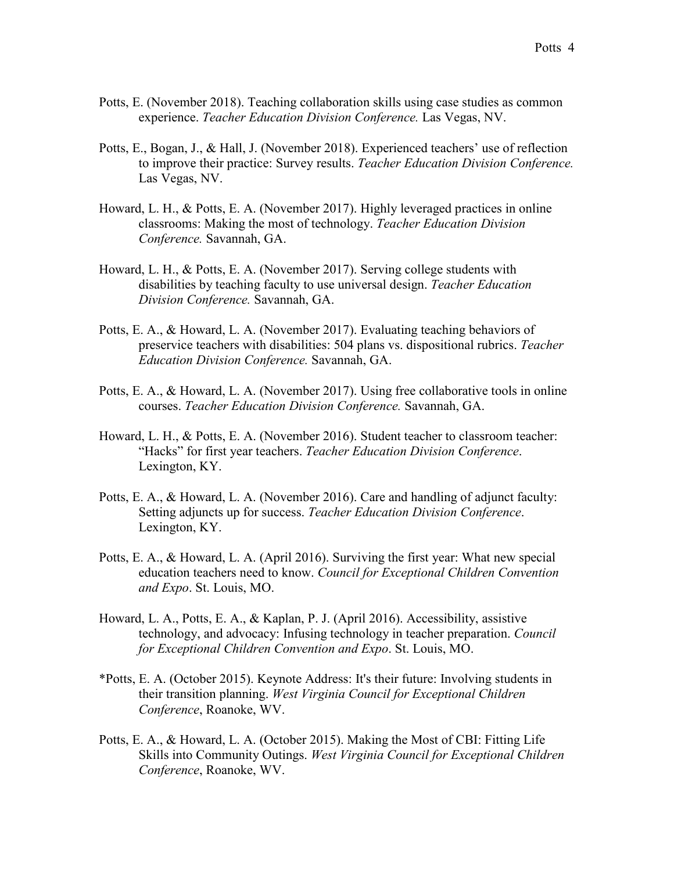- Potts, E. (November 2018). Teaching collaboration skills using case studies as common experience. *Teacher Education Division Conference.* Las Vegas, NV.
- Potts, E., Bogan, J., & Hall, J. (November 2018). Experienced teachers' use of reflection to improve their practice: Survey results. *Teacher Education Division Conference.* Las Vegas, NV.
- Howard, L. H., & Potts, E. A. (November 2017). Highly leveraged practices in online classrooms: Making the most of technology. *Teacher Education Division Conference.* Savannah, GA.
- Howard, L. H., & Potts, E. A. (November 2017). Serving college students with disabilities by teaching faculty to use universal design. *Teacher Education Division Conference.* Savannah, GA.
- Potts, E. A., & Howard, L. A. (November 2017). Evaluating teaching behaviors of preservice teachers with disabilities: 504 plans vs. dispositional rubrics. *Teacher Education Division Conference.* Savannah, GA.
- Potts, E. A., & Howard, L. A. (November 2017). Using free collaborative tools in online courses. *Teacher Education Division Conference.* Savannah, GA.
- Howard, L. H., & Potts, E. A. (November 2016). Student teacher to classroom teacher: "Hacks" for first year teachers. *Teacher Education Division Conference*. Lexington, KY.
- Potts, E. A., & Howard, L. A. (November 2016). Care and handling of adjunct faculty: Setting adjuncts up for success. *Teacher Education Division Conference*. Lexington, KY.
- Potts, E. A., & Howard, L. A. (April 2016). Surviving the first year: What new special education teachers need to know. *Council for Exceptional Children Convention and Expo*. St. Louis, MO.
- Howard, L. A., Potts, E. A., & Kaplan, P. J. (April 2016). Accessibility, assistive technology, and advocacy: Infusing technology in teacher preparation. *Council for Exceptional Children Convention and Expo*. St. Louis, MO.
- \*Potts, E. A. (October 2015). Keynote Address: It's their future: Involving students in their transition planning. *West Virginia Council for Exceptional Children Conference*, Roanoke, WV.
- Potts, E. A., & Howard, L. A. (October 2015). Making the Most of CBI: Fitting Life Skills into Community Outings. *West Virginia Council for Exceptional Children Conference*, Roanoke, WV.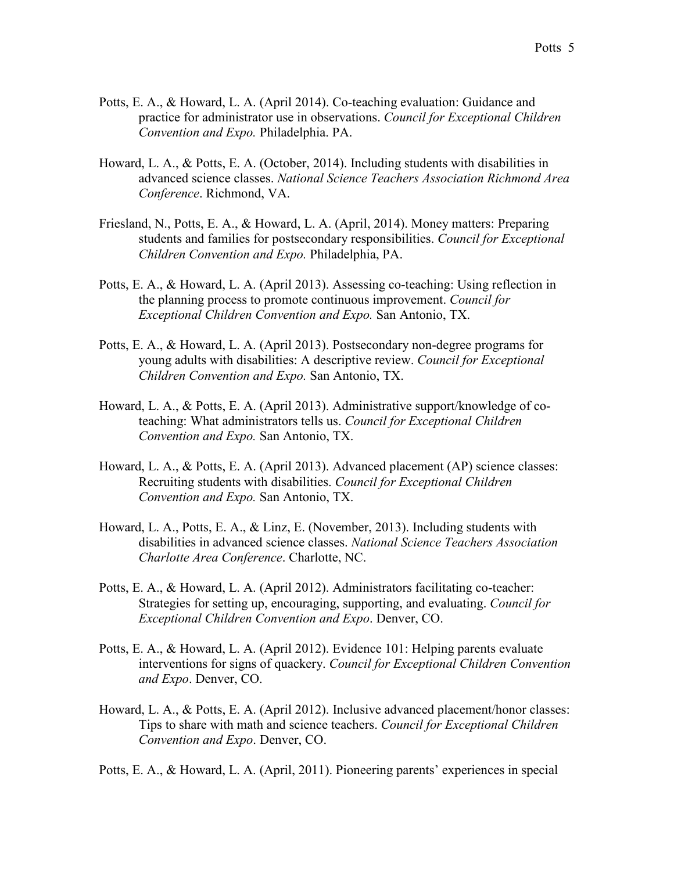- Potts, E. A., & Howard, L. A. (April 2014). Co-teaching evaluation: Guidance and practice for administrator use in observations. *Council for Exceptional Children Convention and Expo.* Philadelphia. PA.
- Howard, L. A., & Potts, E. A. (October, 2014). Including students with disabilities in advanced science classes. *National Science Teachers Association Richmond Area Conference*. Richmond, VA.
- Friesland, N., Potts, E. A., & Howard, L. A. (April, 2014). Money matters: Preparing students and families for postsecondary responsibilities. *Council for Exceptional Children Convention and Expo.* Philadelphia, PA.
- Potts, E. A., & Howard, L. A. (April 2013). Assessing co-teaching: Using reflection in the planning process to promote continuous improvement. *Council for Exceptional Children Convention and Expo.* San Antonio, TX.
- Potts, E. A., & Howard, L. A. (April 2013). Postsecondary non-degree programs for young adults with disabilities: A descriptive review. *Council for Exceptional Children Convention and Expo.* San Antonio, TX.
- Howard, L. A., & Potts, E. A. (April 2013). Administrative support/knowledge of coteaching: What administrators tells us. *Council for Exceptional Children Convention and Expo.* San Antonio, TX.
- Howard, L. A., & Potts, E. A. (April 2013). Advanced placement (AP) science classes: Recruiting students with disabilities. *Council for Exceptional Children Convention and Expo.* San Antonio, TX.
- Howard, L. A., Potts, E. A., & Linz, E. (November, 2013). Including students with disabilities in advanced science classes. *National Science Teachers Association Charlotte Area Conference*. Charlotte, NC.
- Potts, E. A., & Howard, L. A. (April 2012). Administrators facilitating co-teacher: Strategies for setting up, encouraging, supporting, and evaluating. *Council for Exceptional Children Convention and Expo*. Denver, CO.
- Potts, E. A., & Howard, L. A. (April 2012). Evidence 101: Helping parents evaluate interventions for signs of quackery. *Council for Exceptional Children Convention and Expo*. Denver, CO.
- Howard, L. A., & Potts, E. A. (April 2012). Inclusive advanced placement/honor classes: Tips to share with math and science teachers. *Council for Exceptional Children Convention and Expo*. Denver, CO.

Potts, E. A., & Howard, L. A. (April, 2011). Pioneering parents' experiences in special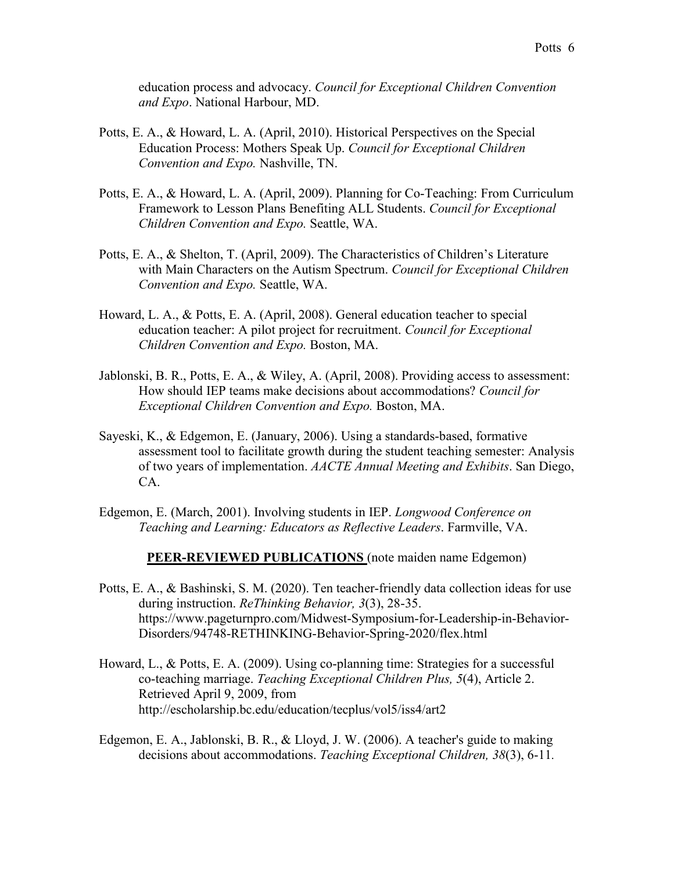education process and advocacy. *Council for Exceptional Children Convention and Expo*. National Harbour, MD.

- Potts, E. A., & Howard, L. A. (April, 2010). Historical Perspectives on the Special Education Process: Mothers Speak Up. *Council for Exceptional Children Convention and Expo.* Nashville, TN.
- Potts, E. A., & Howard, L. A. (April, 2009). Planning for Co-Teaching: From Curriculum Framework to Lesson Plans Benefiting ALL Students. *Council for Exceptional Children Convention and Expo.* Seattle, WA.
- Potts, E. A., & Shelton, T. (April, 2009). The Characteristics of Children's Literature with Main Characters on the Autism Spectrum. *Council for Exceptional Children Convention and Expo.* Seattle, WA.
- Howard, L. A., & Potts, E. A. (April, 2008). General education teacher to special education teacher: A pilot project for recruitment. *Council for Exceptional Children Convention and Expo.* Boston, MA.
- Jablonski, B. R., Potts, E. A., & Wiley, A. (April, 2008). Providing access to assessment: How should IEP teams make decisions about accommodations? *Council for Exceptional Children Convention and Expo.* Boston, MA.
- Sayeski, K., & Edgemon, E. (January, 2006). Using a standards-based, formative assessment tool to facilitate growth during the student teaching semester: Analysis of two years of implementation. *AACTE Annual Meeting and Exhibits*. San Diego, CA.
- Edgemon, E. (March, 2001). Involving students in IEP. *Longwood Conference on Teaching and Learning: Educators as Reflective Leaders*. Farmville, VA.

#### **PEER-REVIEWED PUBLICATIONS** (note maiden name Edgemon)

- Potts, E. A., & Bashinski, S. M. (2020). Ten teacher-friendly data collection ideas for use during instruction. *ReThinking Behavior, 3*(3), 28-35. https://www.pageturnpro.com/Midwest-Symposium-for-Leadership-in-Behavior-Disorders/94748-RETHINKING-Behavior-Spring-2020/flex.html
- Howard, L., & Potts, E. A. (2009). Using co-planning time: Strategies for a successful co-teaching marriage. *Teaching Exceptional Children Plus, 5*(4), Article 2. Retrieved April 9, 2009, from http://escholarship.bc.edu/education/tecplus/vol5/iss4/art2
- Edgemon, E. A., Jablonski, B. R., & Lloyd, J. W. (2006). A teacher's guide to making decisions about accommodations. *Teaching Exceptional Children, 38*(3), 6-11*.*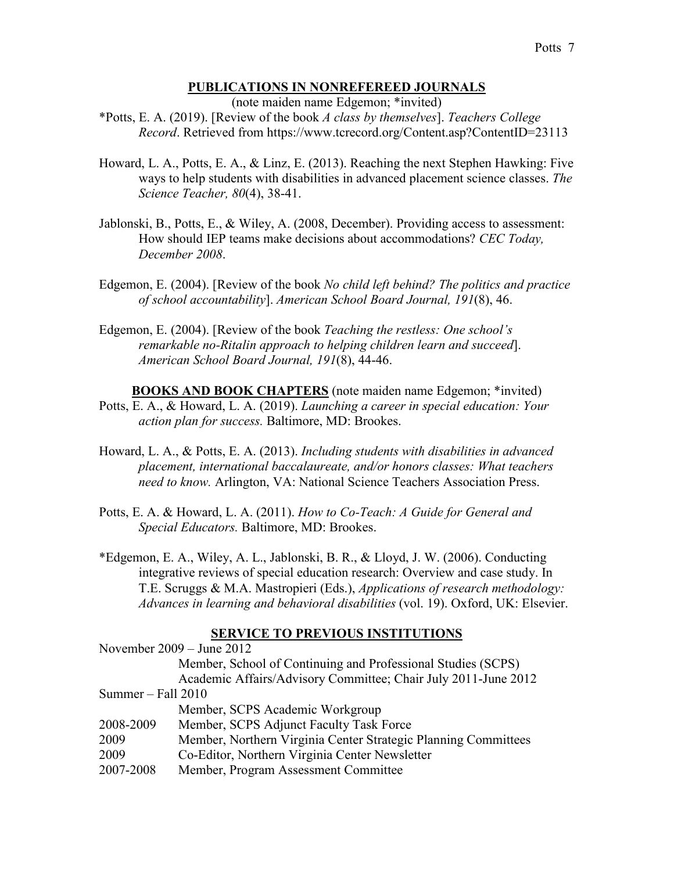## **PUBLICATIONS IN NONREFEREED JOURNALS**

(note maiden name Edgemon; \*invited)

\*Potts, E. A. (2019). [Review of the book *A class by themselves*]. *Teachers College Record*. Retrieved from https://www.tcrecord.org/Content.asp?ContentID=23113

- Howard, L. A., Potts, E. A., & Linz, E. (2013). Reaching the next Stephen Hawking: Five ways to help students with disabilities in advanced placement science classes. *The Science Teacher, 80*(4), 38-41.
- Jablonski, B., Potts, E., & Wiley, A. (2008, December). Providing access to assessment: How should IEP teams make decisions about accommodations? *CEC Today, December 2008*.
- Edgemon, E. (2004). [Review of the book *No child left behind? The politics and practice of school accountability*]. *American School Board Journal, 191*(8), 46.
- Edgemon, E. (2004). [Review of the book *Teaching the restless: One school's remarkable no-Ritalin approach to helping children learn and succeed*]. *American School Board Journal, 191*(8), 44-46.
- **BOOKS AND BOOK CHAPTERS** (note maiden name Edgemon; \*invited) Potts, E. A., & Howard, L. A. (2019). *Launching a career in special education: Your action plan for success.* Baltimore, MD: Brookes.
- Howard, L. A., & Potts, E. A. (2013). *Including students with disabilities in advanced placement, international baccalaureate, and/or honors classes: What teachers need to know.* Arlington, VA: National Science Teachers Association Press.
- Potts, E. A. & Howard, L. A. (2011). *How to Co-Teach: A Guide for General and Special Educators.* Baltimore, MD: Brookes.
- \*Edgemon, E. A., Wiley, A. L., Jablonski, B. R., & Lloyd, J. W. (2006). Conducting integrative reviews of special education research: Overview and case study. In T.E. Scruggs & M.A. Mastropieri (Eds.), *Applications of research methodology: Advances in learning and behavioral disabilities* (vol. 19). Oxford, UK: Elsevier.

## **SERVICE TO PREVIOUS INSTITUTIONS**

|                    | November 2009 – June 2012                                      |
|--------------------|----------------------------------------------------------------|
|                    | Member, School of Continuing and Professional Studies (SCPS)   |
|                    | Academic Affairs/Advisory Committee; Chair July 2011-June 2012 |
| Summer – Fall 2010 |                                                                |
|                    | Member, SCPS Academic Workgroup                                |
| 2008-2009          | Member, SCPS Adjunct Faculty Task Force                        |
| 2009               | Member, Northern Virginia Center Strategic Planning Committees |
| 2009               | Co-Editor, Northern Virginia Center Newsletter                 |
| 2007-2008          | Member, Program Assessment Committee                           |
|                    |                                                                |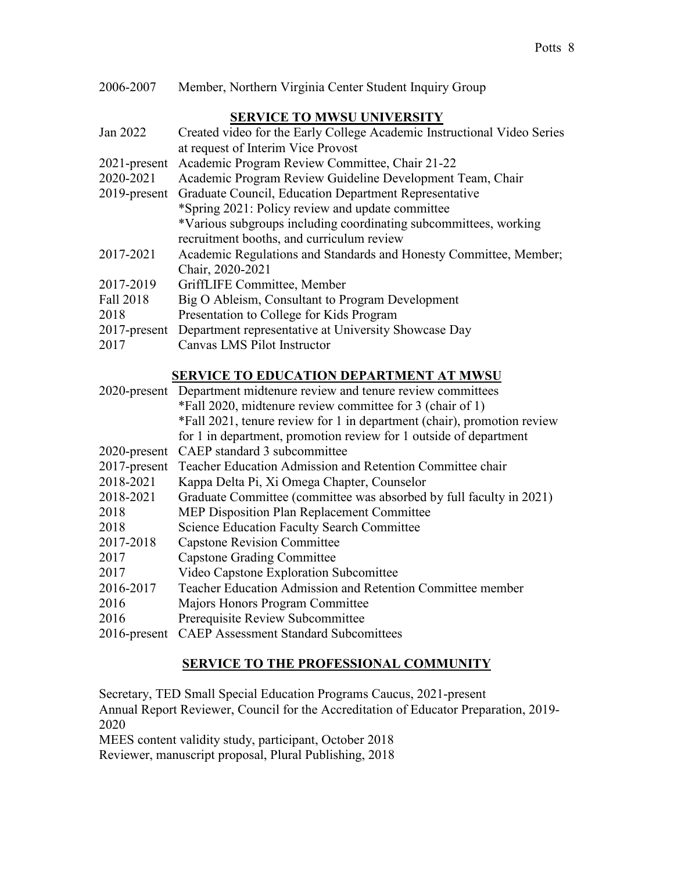| 2006-2007 |  |  | Member, Northern Virginia Center Student Inquiry Group |
|-----------|--|--|--------------------------------------------------------|
|-----------|--|--|--------------------------------------------------------|

## **SERVICE TO MWSU UNIVERSITY**

| Jan 2022     | Created video for the Early College Academic Instructional Video Series |
|--------------|-------------------------------------------------------------------------|
|              | at request of Interim Vice Provost                                      |
| 2021-present | Academic Program Review Committee, Chair 21-22                          |
| 2020-2021    | Academic Program Review Guideline Development Team, Chair               |
| 2019-present | Graduate Council, Education Department Representative                   |
|              | *Spring 2021: Policy review and update committee                        |
|              | *Various subgroups including coordinating subcommittees, working        |
|              | recruitment booths, and curriculum review                               |
| 2017-2021    | Academic Regulations and Standards and Honesty Committee, Member;       |
|              | Chair, 2020-2021                                                        |
| 2017-2019    | GriffLIFE Committee, Member                                             |
| Fall 2018    | Big O Ableism, Consultant to Program Development                        |
| 2018         | Presentation to College for Kids Program                                |
| 2017-present | Department representative at University Showcase Day                    |
| 2017         | Canvas LMS Pilot Instructor                                             |
|              |                                                                         |
|              | <b>SERVICE TO EDUCATION DEPARTMENT AT MWSU</b>                          |
|              | 2020-present Department midtenure review and tenure review committees   |
|              |                                                                         |
|              | *Fall 2020, midtenure review committee for 3 (chair of 1)               |
|              | *Fall 2021, tenure review for 1 in department (chair), promotion review |
|              | for 1 in department, promotion review for 1 outside of department       |
| 2020-present | CAEP standard 3 subcommittee                                            |
| 2017-present | Teacher Education Admission and Retention Committee chair               |
| 2018-2021    | Kappa Delta Pi, Xi Omega Chapter, Counselor                             |
| 2018-2021    | Graduate Committee (committee was absorbed by full faculty in 2021)     |
| 2018         | <b>MEP Disposition Plan Replacement Committee</b>                       |
| 2018         | <b>Science Education Faculty Search Committee</b>                       |
| 2017-2018    | <b>Capstone Revision Committee</b>                                      |
| 2017         | <b>Capstone Grading Committee</b>                                       |
| 2017         | Video Capstone Exploration Subcomittee                                  |
| 2016-2017    | Teacher Education Admission and Retention Committee member              |
| 2016         | Majors Honors Program Committee                                         |
| 2016         | Prerequisite Review Subcommittee                                        |

# **SERVICE TO THE PROFESSIONAL COMMUNITY**

Secretary, TED Small Special Education Programs Caucus, 2021-present Annual Report Reviewer, Council for the Accreditation of Educator Preparation, 2019- 2020 MEES content validity study, participant, October 2018

Reviewer, manuscript proposal, Plural Publishing, 2018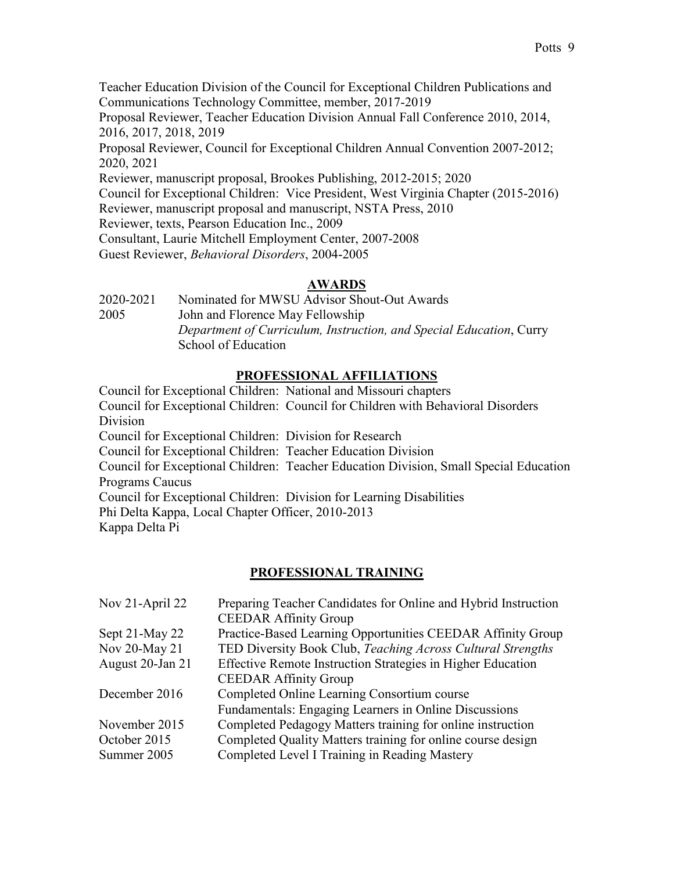Teacher Education Division of the Council for Exceptional Children Publications and Communications Technology Committee, member, 2017-2019 Proposal Reviewer, Teacher Education Division Annual Fall Conference 2010, 2014, 2016, 2017, 2018, 2019 Proposal Reviewer, Council for Exceptional Children Annual Convention 2007-2012; 2020, 2021 Reviewer, manuscript proposal, Brookes Publishing, 2012-2015; 2020 Council for Exceptional Children: Vice President, West Virginia Chapter (2015-2016) Reviewer, manuscript proposal and manuscript, NSTA Press, 2010 Reviewer, texts, Pearson Education Inc., 2009 Consultant, Laurie Mitchell Employment Center, 2007-2008 Guest Reviewer, *Behavioral Disorders*, 2004-2005

## **AWARDS**

2020-2021 Nominated for MWSU Advisor Shout-Out Awards 2005 John and Florence May Fellowship *Department of Curriculum, Instruction, and Special Education*, Curry School of Education

## **PROFESSIONAL AFFILIATIONS**

Council for Exceptional Children: National and Missouri chapters Council for Exceptional Children: Council for Children with Behavioral Disorders Division Council for Exceptional Children: Division for Research Council for Exceptional Children: Teacher Education Division Council for Exceptional Children: Teacher Education Division, Small Special Education Programs Caucus Council for Exceptional Children: Division for Learning Disabilities Phi Delta Kappa, Local Chapter Officer, 2010-2013 Kappa Delta Pi

#### **PROFESSIONAL TRAINING**

| Nov 21-April 22  | Preparing Teacher Candidates for Online and Hybrid Instruction |
|------------------|----------------------------------------------------------------|
|                  | <b>CEEDAR Affinity Group</b>                                   |
| Sept 21-May 22   | Practice-Based Learning Opportunities CEEDAR Affinity Group    |
| Nov 20-May 21    | TED Diversity Book Club, Teaching Across Cultural Strengths    |
| August 20-Jan 21 | Effective Remote Instruction Strategies in Higher Education    |
|                  | <b>CEEDAR Affinity Group</b>                                   |
| December 2016    | Completed Online Learning Consortium course                    |
|                  | Fundamentals: Engaging Learners in Online Discussions          |
| November 2015    | Completed Pedagogy Matters training for online instruction     |
| October 2015     | Completed Quality Matters training for online course design    |
| Summer 2005      | Completed Level I Training in Reading Mastery                  |
|                  |                                                                |